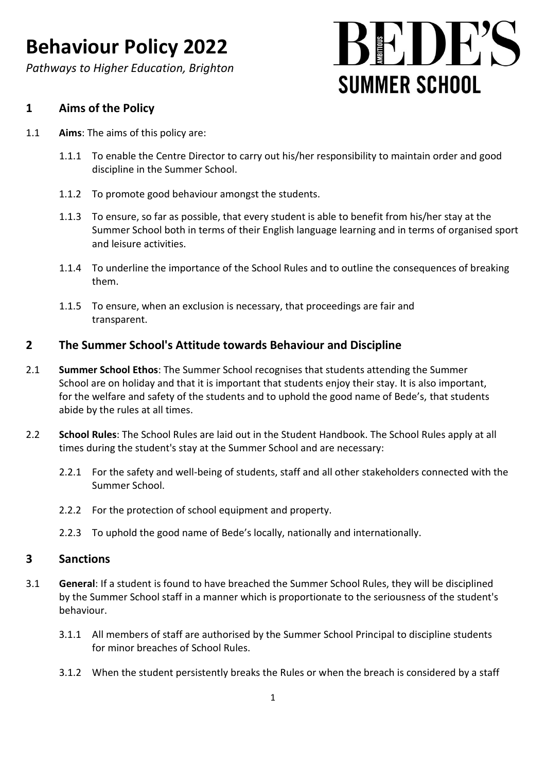*Pathways to Higher Education, Brighton*

# $\left\{\mathbf{K}^{\prime}\right\}\right)$   $\mathbf{K}^{\prime\prime}$ **SUMMER SCHOOL**

### **1 Aims of the Policy**

- 1.1 **Aims**: The aims of this policy are:
	- 1.1.1 To enable the Centre Director to carry out his/her responsibility to maintain order and good discipline in the Summer School.
	- 1.1.2 To promote good behaviour amongst the students.
	- 1.1.3 To ensure, so far as possible, that every student is able to benefit from his/her stay at the Summer School both in terms of their English language learning and in terms of organised sport and leisure activities.
	- 1.1.4 To underline the importance of the School Rules and to outline the consequences of breaking them.
	- 1.1.5 To ensure, when an exclusion is necessary, that proceedings are fair and transparent.

### **2 The Summer School's Attitude towards Behaviour and Discipline**

- 2.1 **Summer School Ethos**: The Summer School recognises that students attending the Summer School are on holiday and that it is important that students enjoy their stay. It is also important, for the welfare and safety of the students and to uphold the good name of Bede's, that students abide by the rules at all times.
- 2.2 **School Rules**: The School Rules are laid out in the Student Handbook. The School Rules apply at all times during the student's stay at the Summer School and are necessary:
	- 2.2.1 For the safety and well-being of students, staff and all other stakeholders connected with the Summer School.
	- 2.2.2 For the protection of school equipment and property.
	- 2.2.3 To uphold the good name of Bede's locally, nationally and internationally.

#### **3 Sanctions**

- 3.1 **General**: If a student is found to have breached the Summer School Rules, they will be disciplined by the Summer School staff in a manner which is proportionate to the seriousness of the student's behaviour.
	- 3.1.1 All members of staff are authorised by the Summer School Principal to discipline students for minor breaches of School Rules.
	- 3.1.2 When the student persistently breaks the Rules or when the breach is considered by a staff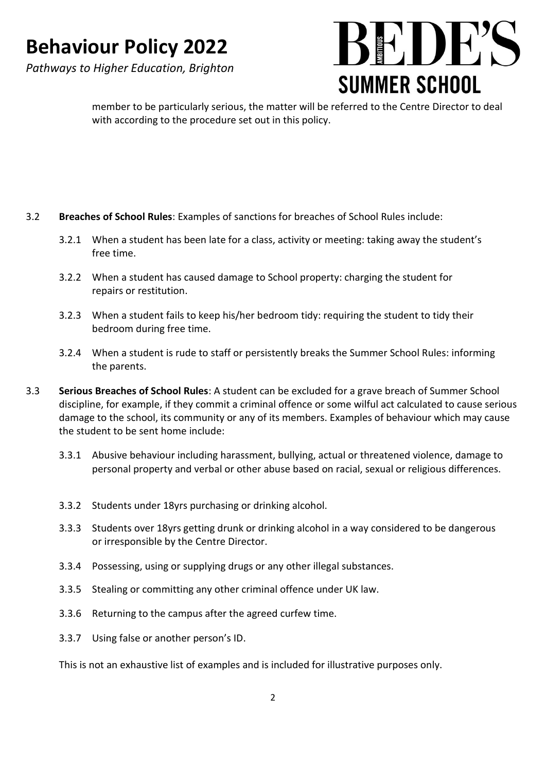*Pathways to Higher Education, Brighton*



member to be particularly serious, the matter will be referred to the Centre Director to deal with according to the procedure set out in this policy.

#### 3.2 **Breaches of School Rules**: Examples of sanctions for breaches of School Rules include:

- 3.2.1 When a student has been late for a class, activity or meeting: taking away the student's free time.
- 3.2.2 When a student has caused damage to School property: charging the student for repairs or restitution.
- 3.2.3 When a student fails to keep his/her bedroom tidy: requiring the student to tidy their bedroom during free time.
- 3.2.4 When a student is rude to staff or persistently breaks the Summer School Rules: informing the parents.
- 3.3 **Serious Breaches of School Rules**: A student can be excluded for a grave breach of Summer School discipline, for example, if they commit a criminal offence or some wilful act calculated to cause serious damage to the school, its community or any of its members. Examples of behaviour which may cause the student to be sent home include:
	- 3.3.1 Abusive behaviour including harassment, bullying, actual or threatened violence, damage to personal property and verbal or other abuse based on racial, sexual or religious differences.
	- 3.3.2 Students under 18yrs purchasing or drinking alcohol.
	- 3.3.3 Students over 18yrs getting drunk or drinking alcohol in a way considered to be dangerous or irresponsible by the Centre Director.
	- 3.3.4 Possessing, using or supplying drugs or any other illegal substances.
	- 3.3.5 Stealing or committing any other criminal offence under UK law.
	- 3.3.6 Returning to the campus after the agreed curfew time.
	- 3.3.7 Using false or another person's ID.

This is not an exhaustive list of examples and is included for illustrative purposes only.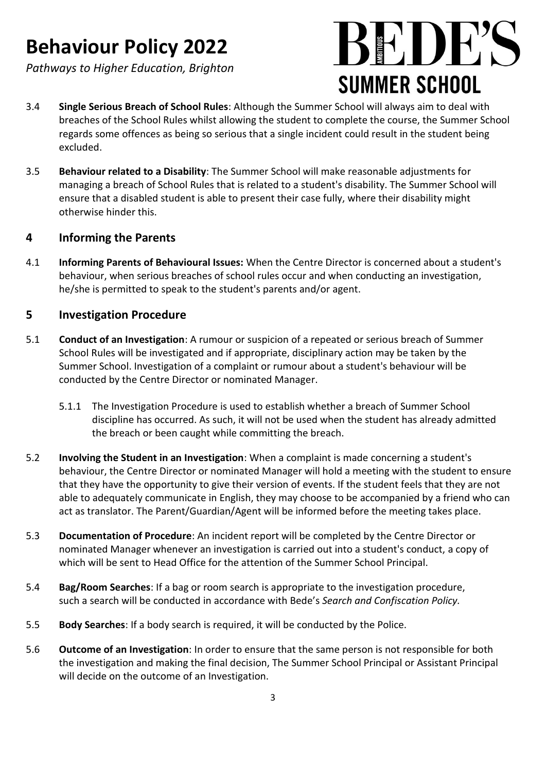*Pathways to Higher Education, Brighton*



- 3.4 **Single Serious Breach of School Rules**: Although the Summer School will always aim to deal with breaches of the School Rules whilst allowing the student to complete the course, the Summer School regards some offences as being so serious that a single incident could result in the student being excluded.
- 3.5 **Behaviour related to a Disability**: The Summer School will make reasonable adjustments for managing a breach of School Rules that is related to a student's disability. The Summer School will ensure that a disabled student is able to present their case fully, where their disability might otherwise hinder this.

#### **4 Informing the Parents**

4.1 **Informing Parents of Behavioural Issues:** When the Centre Director is concerned about a student's behaviour, when serious breaches of school rules occur and when conducting an investigation, he/she is permitted to speak to the student's parents and/or agent.

### **5 Investigation Procedure**

- 5.1 **Conduct of an Investigation**: A rumour or suspicion of a repeated or serious breach of Summer School Rules will be investigated and if appropriate, disciplinary action may be taken by the Summer School. Investigation of a complaint or rumour about a student's behaviour will be conducted by the Centre Director or nominated Manager.
	- 5.1.1 The Investigation Procedure is used to establish whether a breach of Summer School discipline has occurred. As such, it will not be used when the student has already admitted the breach or been caught while committing the breach.
- 5.2 **Involving the Student in an Investigation**: When a complaint is made concerning a student's behaviour, the Centre Director or nominated Manager will hold a meeting with the student to ensure that they have the opportunity to give their version of events. If the student feels that they are not able to adequately communicate in English, they may choose to be accompanied by a friend who can act as translator. The Parent/Guardian/Agent will be informed before the meeting takes place.
- 5.3 **Documentation of Procedure**: An incident report will be completed by the Centre Director or nominated Manager whenever an investigation is carried out into a student's conduct, a copy of which will be sent to Head Office for the attention of the Summer School Principal.
- 5.4 **Bag/Room Searches**: If a bag or room search is appropriate to the investigation procedure, such a search will be conducted in accordance with Bede's *Search and Confiscation Policy.*
- 5.5 **Body Searches**: If a body search is required, it will be conducted by the Police.
- 5.6 **Outcome of an Investigation**: In order to ensure that the same person is not responsible for both the investigation and making the final decision, The Summer School Principal or Assistant Principal will decide on the outcome of an Investigation.